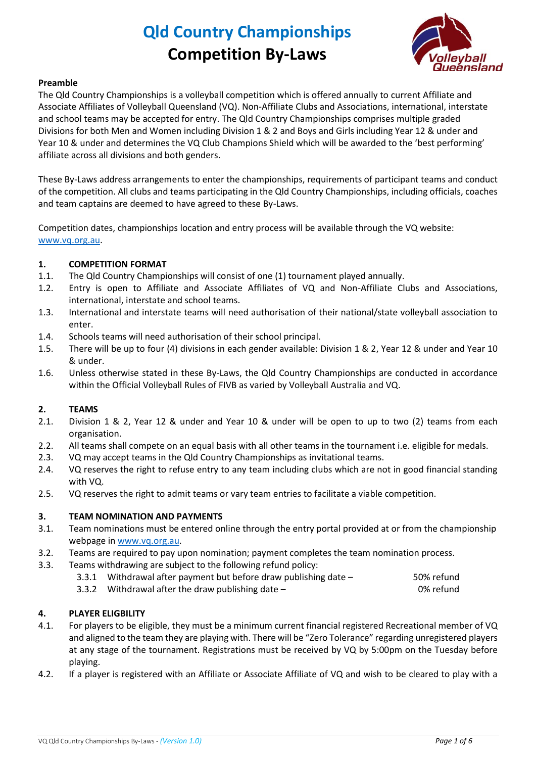

#### **Preamble**

The Qld Country Championships is a volleyball competition which is offered annually to current Affiliate and Associate Affiliates of Volleyball Queensland (VQ). Non-Affiliate Clubs and Associations, international, interstate and school teams may be accepted for entry. The Qld Country Championships comprises multiple graded Divisions for both Men and Women including Division 1 & 2 and Boys and Girls including Year 12 & under and Year 10 & under and determines the VQ Club Champions Shield which will be awarded to the 'best performing' affiliate across all divisions and both genders.

These By-Laws address arrangements to enter the championships, requirements of participant teams and conduct of the competition. All clubs and teams participating in the Qld Country Championships, including officials, coaches and team captains are deemed to have agreed to these By-Laws.

Competition dates, championships location and entry process will be available through the VQ website: [www.vq.org.au.](http://www.vq.org.au/)

## **1. COMPETITION FORMAT**

- 1.1. The Qld Country Championships will consist of one (1) tournament played annually.
- 1.2. Entry is open to Affiliate and Associate Affiliates of VQ and Non-Affiliate Clubs and Associations, international, interstate and school teams.
- 1.3. International and interstate teams will need authorisation of their national/state volleyball association to enter.
- 1.4. Schools teams will need authorisation of their school principal.
- 1.5. There will be up to four (4) divisions in each gender available: Division 1 & 2, Year 12 & under and Year 10 & under.
- 1.6. Unless otherwise stated in these By-Laws, the Qld Country Championships are conducted in accordance within the Official Volleyball Rules of FIVB as varied by Volleyball Australia and VQ.

## **2. TEAMS**

- 2.1. Division 1 & 2, Year 12 & under and Year 10 & under will be open to up to two (2) teams from each organisation.
- 2.2. All teams shall compete on an equal basis with all other teams in the tournament i.e. eligible for medals.
- 2.3. VQ may accept teams in the Qld Country Championships as invitational teams.
- 2.4. VQ reserves the right to refuse entry to any team including clubs which are not in good financial standing with VQ.
- 2.5. VQ reserves the right to admit teams or vary team entries to facilitate a viable competition.

#### **3. TEAM NOMINATION AND PAYMENTS**

- 3.1. Team nominations must be entered online through the entry portal provided at or from the championship webpage i[n www.vq.org.au.](http://www.vq.org.au/)
- 3.2. Teams are required to pay upon nomination; payment completes the team nomination process.
- 3.3. Teams withdrawing are subject to the following refund policy:
	- 3.3.1 Withdrawal after payment but before draw publishing date 50% refund
	- 3.3.2 Withdrawal after the draw publishing date 0% refund

## **4. PLAYER ELIGBILITY**

- 4.1. For players to be eligible, they must be a minimum current financial registered Recreational member of VQ and aligned to the team they are playing with. There will be "Zero Tolerance" regarding unregistered players at any stage of the tournament. Registrations must be received by VQ by 5:00pm on the Tuesday before playing.
- 4.2. If a player is registered with an Affiliate or Associate Affiliate of VQ and wish to be cleared to play with a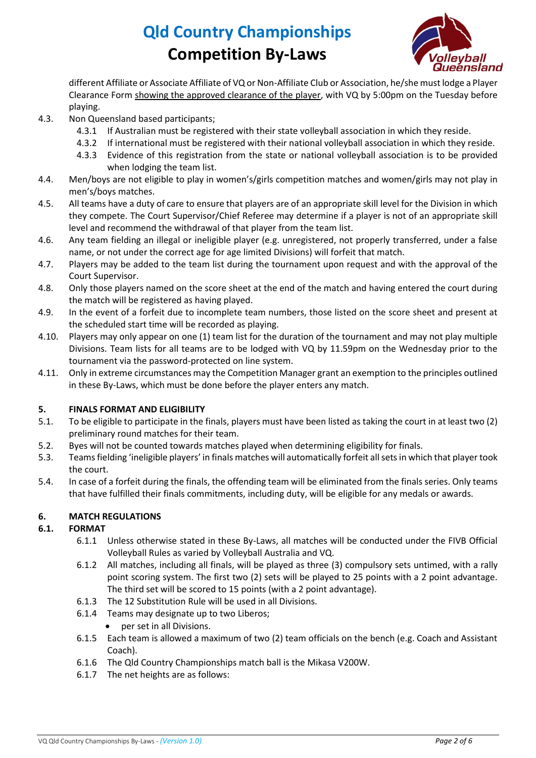

different Affiliate or Associate Affiliate of VQ or Non-Affiliate Club or Association, he/she must lodge a Player Clearance Form showing the approved clearance of the player, with VQ by 5:00pm on the Tuesday before playing.

- 4.3. Non Queensland based participants;
	- 4.3.1 If Australian must be registered with their state volleyball association in which they reside.
	- 4.3.2 If international must be registered with their national volleyball association in which they reside.
	- 4.3.3 Evidence of this registration from the state or national volleyball association is to be provided when lodging the team list.
- 4.4. Men/boys are not eligible to play in women's/girls competition matches and women/girls may not play in men's/boys matches.
- 4.5. All teams have a duty of care to ensure that players are of an appropriate skill level for the Division in which they compete. The Court Supervisor/Chief Referee may determine if a player is not of an appropriate skill level and recommend the withdrawal of that player from the team list.
- 4.6. Any team fielding an illegal or ineligible player (e.g. unregistered, not properly transferred, under a false name, or not under the correct age for age limited Divisions) will forfeit that match.
- 4.7. Players may be added to the team list during the tournament upon request and with the approval of the Court Supervisor.
- 4.8. Only those players named on the score sheet at the end of the match and having entered the court during the match will be registered as having played.
- 4.9. In the event of a forfeit due to incomplete team numbers, those listed on the score sheet and present at the scheduled start time will be recorded as playing.
- 4.10. Players may only appear on one (1) team list for the duration of the tournament and may not play multiple Divisions. Team lists for all teams are to be lodged with VQ by 11.59pm on the Wednesday prior to the tournament via the password-protected on line system.
- 4.11. Only in extreme circumstances may the Competition Manager grant an exemption to the principles outlined in these By-Laws, which must be done before the player enters any match.

## **5. FINALS FORMAT AND ELIGIBILITY**

- 5.1. To be eligible to participate in the finals, players must have been listed as taking the court in at least two (2) preliminary round matches for their team.
- 5.2. Byes will not be counted towards matches played when determining eligibility for finals.
- 5.3. Teams fielding 'ineligible players' in finals matches will automatically forfeit all sets in which that player took the court.
- 5.4. In case of a forfeit during the finals, the offending team will be eliminated from the finals series. Only teams that have fulfilled their finals commitments, including duty, will be eligible for any medals or awards.

## **6. MATCH REGULATIONS**

## **6.1. FORMAT**

- 6.1.1 Unless otherwise stated in these By-Laws, all matches will be conducted under the FIVB Official Volleyball Rules as varied by Volleyball Australia and VQ.
- 6.1.2 All matches, including all finals, will be played as three (3) compulsory sets untimed, with a rally point scoring system. The first two (2) sets will be played to 25 points with a 2 point advantage. The third set will be scored to 15 points (with a 2 point advantage).
- 6.1.3 The 12 Substitution Rule will be used in all Divisions.
- 6.1.4 Teams may designate up to two Liberos;
	- per set in all Divisions.
- 6.1.5 Each team is allowed a maximum of two (2) team officials on the bench (e.g. Coach and Assistant Coach).
- 6.1.6 The Qld Country Championships match ball is the Mikasa V200W.
- 6.1.7 The net heights are as follows: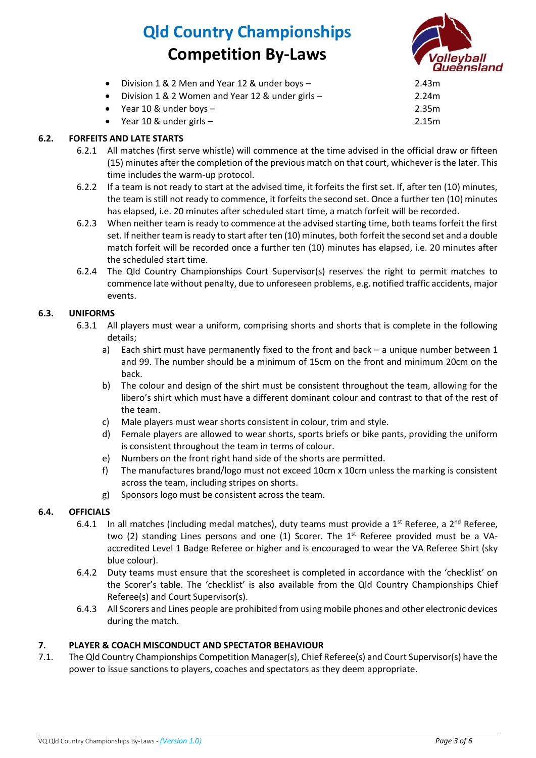

| Division 1 & 2 Men and Year 12 & under boys -    | 2.43m |
|--------------------------------------------------|-------|
| Division 1 & 2 Women and Year 12 & under girls - | 2.24m |
| • Year 10 & under boys $-$                       | 2.35m |
| • Year 10 & under girls $-$                      | 2.15m |

## **6.2. FORFEITS AND LATE STARTS**

- 6.2.1 All matches (first serve whistle) will commence at the time advised in the official draw or fifteen (15) minutes after the completion of the previous match on that court, whichever is the later. This time includes the warm-up protocol.
- 6.2.2 If a team is not ready to start at the advised time, it forfeits the first set. If, after ten (10) minutes, the team is still not ready to commence, it forfeits the second set. Once a further ten (10) minutes has elapsed, i.e. 20 minutes after scheduled start time, a match forfeit will be recorded.
- 6.2.3 When neither team is ready to commence at the advised starting time, both teams forfeit the first set. If neither team is ready to start after ten (10) minutes, both forfeit the second set and a double match forfeit will be recorded once a further ten (10) minutes has elapsed, i.e. 20 minutes after the scheduled start time.
- 6.2.4 The Qld Country Championships Court Supervisor(s) reserves the right to permit matches to commence late without penalty, due to unforeseen problems, e.g. notified traffic accidents, major events.

#### **6.3. UNIFORMS**

- 6.3.1 All players must wear a uniform, comprising shorts and shorts that is complete in the following details;
	- a) Each shirt must have permanently fixed to the front and back a unique number between 1 and 99. The number should be a minimum of 15cm on the front and minimum 20cm on the back.
	- b) The colour and design of the shirt must be consistent throughout the team, allowing for the libero's shirt which must have a different dominant colour and contrast to that of the rest of the team.
	- c) Male players must wear shorts consistent in colour, trim and style.
	- d) Female players are allowed to wear shorts, sports briefs or bike pants, providing the uniform is consistent throughout the team in terms of colour.
	- e) Numbers on the front right hand side of the shorts are permitted.
	- f) The manufactures brand/logo must not exceed 10cm x 10cm unless the marking is consistent across the team, including stripes on shorts.
	- g) Sponsors logo must be consistent across the team.

## **6.4. OFFICIALS**

- 6.4.1 In all matches (including medal matches), duty teams must provide a  $1<sup>st</sup>$  Referee, a  $2<sup>nd</sup>$  Referee, two (2) standing Lines persons and one (1) Scorer. The  $1<sup>st</sup>$  Referee provided must be a VAaccredited Level 1 Badge Referee or higher and is encouraged to wear the VA Referee Shirt (sky blue colour).
- 6.4.2 Duty teams must ensure that the scoresheet is completed in accordance with the 'checklist' on the Scorer's table. The 'checklist' is also available from the Qld Country Championships Chief Referee(s) and Court Supervisor(s).
- 6.4.3 All Scorers and Lines people are prohibited from using mobile phones and other electronic devices during the match.

## **7. PLAYER & COACH MISCONDUCT AND SPECTATOR BEHAVIOUR**

7.1. The Qld Country Championships Competition Manager(s), Chief Referee(s) and Court Supervisor(s) have the power to issue sanctions to players, coaches and spectators as they deem appropriate.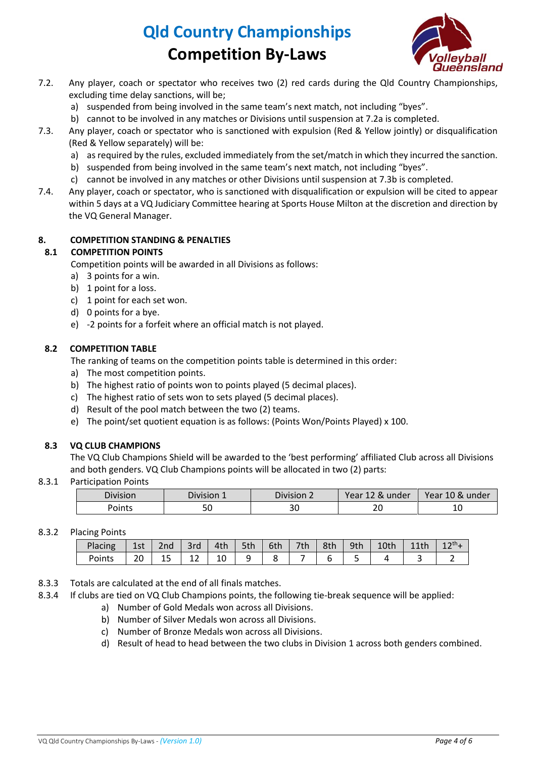

- 7.2. Any player, coach or spectator who receives two (2) red cards during the Qld Country Championships, excluding time delay sanctions, will be;
	- a) suspended from being involved in the same team's next match, not including "byes".
	- b) cannot to be involved in any matches or Divisions until suspension at 7.2a is completed.
- 7.3. Any player, coach or spectator who is sanctioned with expulsion (Red & Yellow jointly) or disqualification (Red & Yellow separately) will be:
	- a) as required by the rules, excluded immediately from the set/match in which they incurred the sanction.
	- b) suspended from being involved in the same team's next match, not including "byes".
	- c) cannot be involved in any matches or other Divisions until suspension at 7.3b is completed.
- 7.4. Any player, coach or spectator, who is sanctioned with disqualification or expulsion will be cited to appear within 5 days at a VQ Judiciary Committee hearing at Sports House Milton at the discretion and direction by the VQ General Manager.

## **8. COMPETITION STANDING & PENALTIES**

#### **8.1 COMPETITION POINTS**

Competition points will be awarded in all Divisions as follows:

- a) 3 points for a win.
- b) 1 point for a loss.
- c) 1 point for each set won.
- d) 0 points for a bye.
- e) -2 points for a forfeit where an official match is not played.

#### **8.2 COMPETITION TABLE**

The ranking of teams on the competition points table is determined in this order:

- a) The most competition points.
- b) The highest ratio of points won to points played (5 decimal places).
- c) The highest ratio of sets won to sets played (5 decimal places).
- d) Result of the pool match between the two (2) teams.
- e) The point/set quotient equation is as follows: (Points Won/Points Played) x 100.

#### **8.3 VQ CLUB CHAMPIONS**

The VQ Club Champions Shield will be awarded to the 'best performing' affiliated Club across all Divisions and both genders. VQ Club Champions points will be allocated in two (2) parts:

#### 8.3.1 Participation Points

| 111110100<br><b>DIVISION</b> | Division 1 | Division 2 | Year.<br>120<br>under<br>ΩV.<br>17 | Year<br>10 <sub>8</sub><br>under<br>Δ |
|------------------------------|------------|------------|------------------------------------|---------------------------------------|
| oints                        | Ju         | ںر         | ້                                  | ᅭ                                     |

#### 8.3.2 Placing Points

| Placing | 1st | 2nd | 3rd | 4th | $\vert$ 5th $\vert$ | $\vert$ 6th | 7th | 8th | 9th | 10th |  |
|---------|-----|-----|-----|-----|---------------------|-------------|-----|-----|-----|------|--|
| Points  | 20  | --  |     | 10  |                     |             |     |     |     |      |  |

- 8.3.3 Totals are calculated at the end of all finals matches.
- 8.3.4 If clubs are tied on VQ Club Champions points, the following tie-break sequence will be applied:
	- a) Number of Gold Medals won across all Divisions.
	- b) Number of Silver Medals won across all Divisions.
	- c) Number of Bronze Medals won across all Divisions.
	- d) Result of head to head between the two clubs in Division 1 across both genders combined.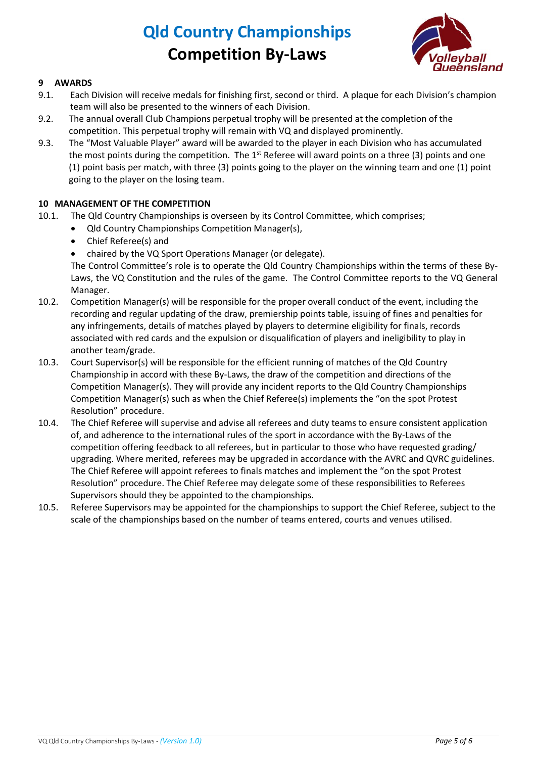

## **9 AWARDS**

- 9.1. Each Division will receive medals for finishing first, second or third. A plaque for each Division's champion team will also be presented to the winners of each Division.
- 9.2. The annual overall Club Champions perpetual trophy will be presented at the completion of the competition. This perpetual trophy will remain with VQ and displayed prominently.
- 9.3. The "Most Valuable Player" award will be awarded to the player in each Division who has accumulated the most points during the competition. The  $1<sup>st</sup>$  Referee will award points on a three (3) points and one (1) point basis per match, with three (3) points going to the player on the winning team and one (1) point going to the player on the losing team.

## **10 MANAGEMENT OF THE COMPETITION**

- 10.1. The Qld Country Championships is overseen by its Control Committee, which comprises;
	- Qld Country Championships Competition Manager(s),
	- Chief Referee(s) and
	- chaired by the VQ Sport Operations Manager (or delegate).

The Control Committee's role is to operate the Qld Country Championships within the terms of these By-Laws, the VQ Constitution and the rules of the game. The Control Committee reports to the VQ General Manager.

- 10.2. Competition Manager(s) will be responsible for the proper overall conduct of the event, including the recording and regular updating of the draw, premiership points table, issuing of fines and penalties for any infringements, details of matches played by players to determine eligibility for finals, records associated with red cards and the expulsion or disqualification of players and ineligibility to play in another team/grade.
- 10.3. Court Supervisor(s) will be responsible for the efficient running of matches of the Qld Country Championship in accord with these By-Laws, the draw of the competition and directions of the Competition Manager(s). They will provide any incident reports to the Qld Country Championships Competition Manager(s) such as when the Chief Referee(s) implements the "on the spot Protest Resolution" procedure.
- 10.4. The Chief Referee will supervise and advise all referees and duty teams to ensure consistent application of, and adherence to the international rules of the sport in accordance with the By-Laws of the competition offering feedback to all referees, but in particular to those who have requested grading/ upgrading. Where merited, referees may be upgraded in accordance with the AVRC and QVRC guidelines. The Chief Referee will appoint referees to finals matches and implement the "on the spot Protest Resolution" procedure. The Chief Referee may delegate some of these responsibilities to Referees Supervisors should they be appointed to the championships.
- 10.5. Referee Supervisors may be appointed for the championships to support the Chief Referee, subject to the scale of the championships based on the number of teams entered, courts and venues utilised.